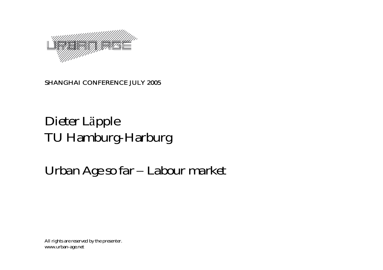

### SHANGHAI CONFERENCE JULY 2005

## Dieter L <sup>ä</sup>pple TU Hamburg-Harburg

#### *Urban Age so far – Labour market*

All rights are reserved by the presenter. www.urban-age.net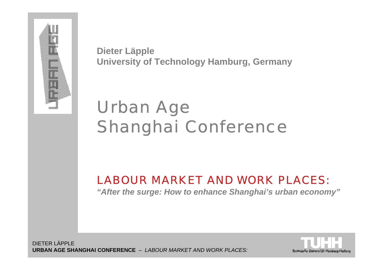

**Dieter Läpple University of Technology Hamburg, Germany**

# Urban Age Shanghai Conference

### *LABOUR MARKET AND WORK PLACES:*

*"After the surge: How to enhance Shanghai's urban economy"*

DIETER LÄPPLE**URBAN AGE SHANGHAI CONFERENCE** – *LABOUR MARKET AND WORK PLACES:*

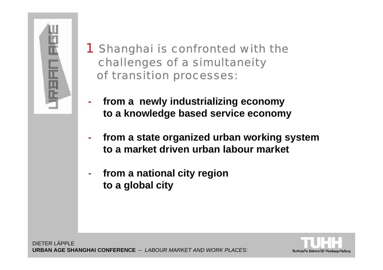

- 1 Shanghai is confronted with the challenges of a simultaneity of transition processes:
- **from a newly industrializing economy to a knowledge based service economy**
- **from a state organized urban working system to a market driven urban labour market**
- **from a national city region to a global city**

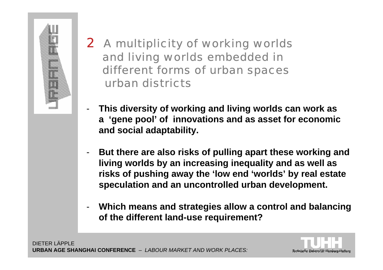

- 2 A multiplicity of working worlds and living worlds embedded in different forms of urban spaces urban districts
- - **This diversity of working and living worlds can work as <sup>a</sup>'gene pool' of innovations and as asset for economic and social adaptability.**
- - **But there are also risks of pulling apart these working and living worlds by an increasing inequality and as well as risks of pushing away the 'low end 'worlds' by real estate speculation and an uncontrolled urban development.**
- - **Which means and strategies allow a control and balancing of the different land-use requirement?**

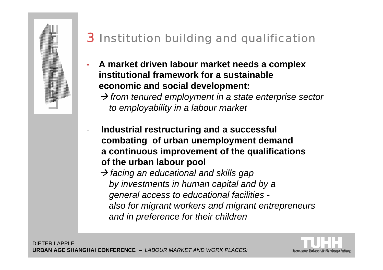

## 3 Institution building and qualification

**- A market driven labour market needs a complex institutional framework for a sustainableeconomic and social development:**

→ from tenured employment in a state enterprise sector *to employability in a labour market*

- - **Industrial restructuring and a successful combating of urban unemployment demand a continuous improvement of the qualifications of the urban labour pool** 
	- Æ *facing an educational and skills gap by investments in human capital and by a general access to educational facilities also for migrant workers and migrant entrepreneurs and in preference for their children*

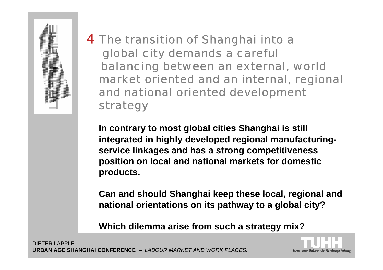

4 The transition of Shanghai into a global city demands a careful balancing between an external, world market oriented and an internal, regional and national oriented development strategy

**In contrary to most global cities Shanghai is still integrated in highly developed regional manufacturingservice linkages and has a strong competitiveness position on local and national markets for domestic products.**

**Can and should Shanghai keep these local, regional and national orientations on its pathway to a global city?**

**Which dilemma arise from such a strategy mix?**